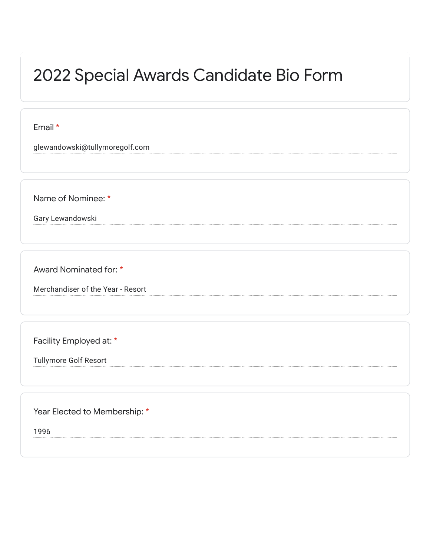## 2022 Special Awards Candidate Bio Form

Email \*

glewandowski@tullymoregolf.com

Name of Nominee: \*

Gary Lewandowski

Award Nominated for: \*

Merchandiser of the Year - Resort

Facility Employed at: \*

Tullymore Golf Resort

Year Elected to Membership: \*

1996